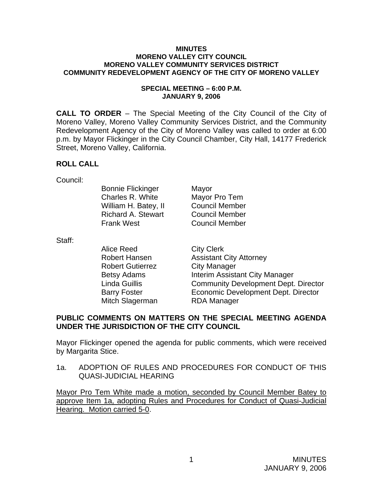#### **MINUTES MORENO VALLEY CITY COUNCIL MORENO VALLEY COMMUNITY SERVICES DISTRICT COMMUNITY REDEVELOPMENT AGENCY OF THE CITY OF MORENO VALLEY**

#### **SPECIAL MEETING – 6:00 P.M. JANUARY 9, 2006**

**CALL TO ORDER** – The Special Meeting of the City Council of the City of Moreno Valley, Moreno Valley Community Services District, and the Community Redevelopment Agency of the City of Moreno Valley was called to order at 6:00 p.m. by Mayor Flickinger in the City Council Chamber, City Hall, 14177 Frederick Street, Moreno Valley, California.

### **ROLL CALL**

Council:

| <b>Bonnie Flickinger</b>  | Mayor                 |
|---------------------------|-----------------------|
| Charles R. White          | Mayor Pro Tem         |
| William H. Batey, II      | <b>Council Member</b> |
| <b>Richard A. Stewart</b> | <b>Council Member</b> |
| <b>Frank West</b>         | <b>Council Member</b> |
|                           |                       |

Staff:

Alice Reed City Clerk Robert Gutierrez City Manager Mitch Slagerman RDA Manager

Robert Hansen **Assistant City Attorney** Betsy Adams **Interim Assistant City Manager**  Linda Guillis Community Development Dept. Director Barry Foster **Economic Development Dept. Director** 

### **PUBLIC COMMENTS ON MATTERS ON THE SPECIAL MEETING AGENDA UNDER THE JURISDICTION OF THE CITY COUNCIL**

Mayor Flickinger opened the agenda for public comments, which were received by Margarita Stice.

1a. ADOPTION OF RULES AND PROCEDURES FOR CONDUCT OF THIS QUASI-JUDICIAL HEARING

Mayor Pro Tem White made a motion, seconded by Council Member Batey to approve Item 1a, adopting Rules and Procedures for Conduct of Quasi-Judicial Hearing. Motion carried 5-0.